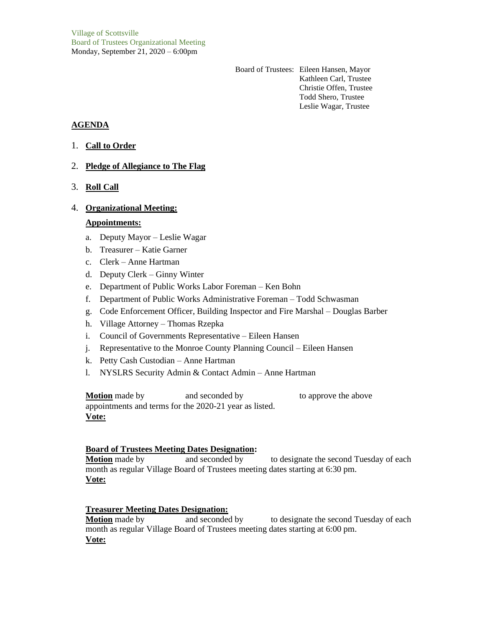Board of Trustees: Eileen Hansen, Mayor Kathleen Carl, Trustee Christie Offen, Trustee Todd Shero, Trustee Leslie Wagar, Trustee

# **AGENDA**

- 1. **Call to Order**
- 2. **Pledge of Allegiance to The Flag**
- 3. **Roll Call**

### 4. **Organizational Meeting:**

### **Appointments:**

- a. Deputy Mayor Leslie Wagar
- b. Treasurer Katie Garner
- c. Clerk Anne Hartman
- d. Deputy Clerk Ginny Winter
- e. Department of Public Works Labor Foreman Ken Bohn
- f. Department of Public Works Administrative Foreman Todd Schwasman
- g. Code Enforcement Officer, Building Inspector and Fire Marshal Douglas Barber
- h. Village Attorney Thomas Rzepka
- i. Council of Governments Representative Eileen Hansen
- j. Representative to the Monroe County Planning Council Eileen Hansen
- k. Petty Cash Custodian Anne Hartman
- l. NYSLRS Security Admin & Contact Admin Anne Hartman

**Motion** made by and seconded by to approve the above appointments and terms for the 2020-21 year as listed. **Vote:**

### **Board of Trustees Meeting Dates Designation:**

**Motion** made by and seconded by to designate the second Tuesday of each month as regular Village Board of Trustees meeting dates starting at 6:30 pm. **Vote:**

### **Treasurer Meeting Dates Designation:**

**Motion** made by and seconded by to designate the second Tuesday of each month as regular Village Board of Trustees meeting dates starting at 6:00 pm. **Vote:**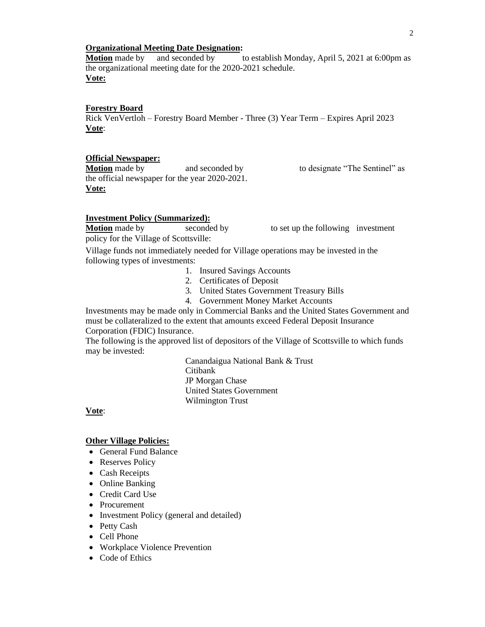#### **Organizational Meeting Date Designation:**

**Motion** made by and seconded by to establish Monday, April 5, 2021 at 6:00pm as the organizational meeting date for the 2020-2021 schedule. **Vote:**

### **Forestry Board**

Rick VenVertloh – Forestry Board Member - Three (3) Year Term – Expires April 2023 **Vote**:

#### **Official Newspaper:**

**Motion** made by and seconded by to designate "The Sentinel" as the official newspaper for the year 2020-2021. **Vote:**

#### **Investment Policy (Summarized):**

**Motion** made by seconded by to set up the following investment policy for the Village of Scottsville:

Village funds not immediately needed for Village operations may be invested in the following types of investments:

- 1. Insured Savings Accounts
- 2. Certificates of Deposit
- 3. United States Government Treasury Bills
- 4. Government Money Market Accounts

Investments may be made only in Commercial Banks and the United States Government and must be collateralized to the extent that amounts exceed Federal Deposit Insurance Corporation (FDIC) Insurance.

The following is the approved list of depositors of the Village of Scottsville to which funds may be invested:

> Canandaigua National Bank & Trust Citibank JP Morgan Chase United States Government Wilmington Trust

### **Vote**:

#### **Other Village Policies:**

- General Fund Balance
- Reserves Policy
- Cash Receipts
- Online Banking
- Credit Card Use
- Procurement
- Investment Policy (general and detailed)
- Petty Cash
- Cell Phone
- Workplace Violence Prevention
- Code of Ethics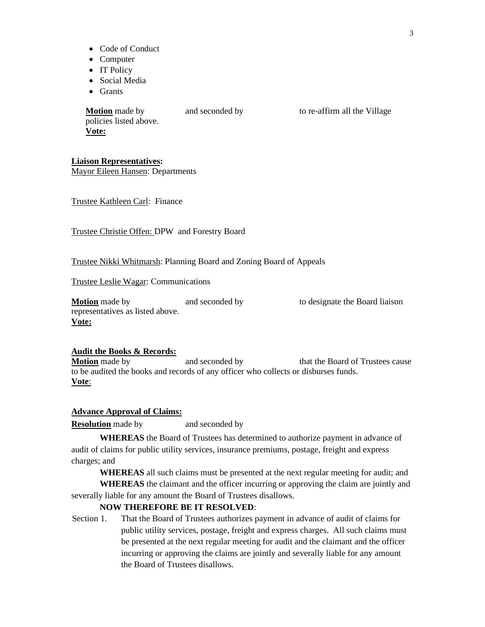- Code of Conduct
- Computer
- IT Policy
- Social Media
- Grants

**Motion** made by and seconded by to re-affirm all the Village policies listed above. **Vote:**

### **Liaison Representatives:**

Mayor Eileen Hansen: Departments

Trustee Kathleen Carl: Finance

Trustee Christie Offen: DPW and Forestry Board

#### Trustee Nikki Whitmarsh: Planning Board and Zoning Board of Appeals

Trustee Leslie Wagar: Communications

**Motion** made by **and seconded by** to designate the Board liaison representatives as listed above. **Vote:**

#### **Audit the Books & Records:**

**Motion** made by and seconded by that the Board of Trustees cause to be audited the books and records of any officer who collects or disburses funds. **Vote**:

#### **Advance Approval of Claims:**

**Resolution** made by and seconded by

**WHEREAS** the Board of Trustees has determined to authorize payment in advance of audit of claims for public utility services, insurance premiums, postage, freight and express charges; and

**WHEREAS** all such claims must be presented at the next regular meeting for audit; and **WHEREAS** the claimant and the officer incurring or approving the claim are jointly and

severally liable for any amount the Board of Trustees disallows.

# **NOW THEREFORE BE IT RESOLVED**:

Section 1. That the Board of Trustees authorizes payment in advance of audit of claims for public utility services, postage, freight and express charges. All such claims must be presented at the next regular meeting for audit and the claimant and the officer incurring or approving the claims are jointly and severally liable for any amount the Board of Trustees disallows.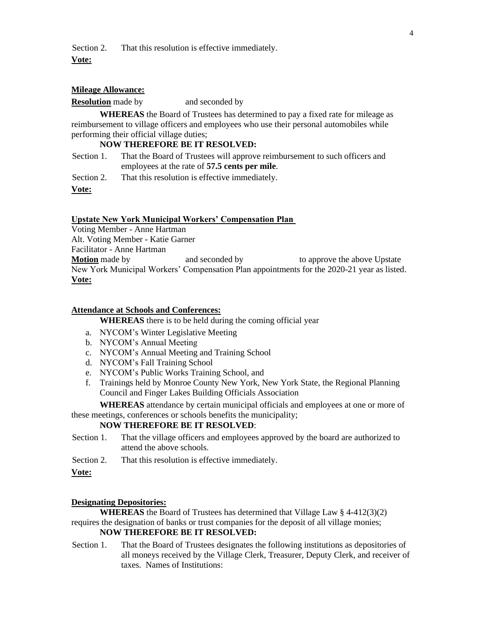Section 2. That this resolution is effective immediately.

#### **Vote:**

#### **Mileage Allowance:**

#### **Resolution** made by and seconded by

**WHEREAS** the Board of Trustees has determined to pay a fixed rate for mileage as reimbursement to village officers and employees who use their personal automobiles while performing their official village duties;

### **NOW THEREFORE BE IT RESOLVED:**

Section 1. That the Board of Trustees will approve reimbursement to such officers and employees at the rate of **57.5 cents per mile**.

Section 2. That this resolution is effective immediately.

**Vote:**

#### **Upstate New York Municipal Workers' Compensation Plan**

Voting Member - Anne Hartman Alt. Voting Member - Katie Garner Facilitator - Anne Hartman **Motion** made by and seconded by to approve the above Upstate New York Municipal Workers' Compensation Plan appointments for the 2020-21 year as listed. **Vote:**

#### **Attendance at Schools and Conferences:**

**WHEREAS** there is to be held during the coming official year

- a. NYCOM's Winter Legislative Meeting
- b. NYCOM's Annual Meeting
- c. NYCOM's Annual Meeting and Training School
- d. NYCOM's Fall Training School
- e. NYCOM's Public Works Training School, and
- f. Trainings held by Monroe County New York, New York State, the Regional Planning Council and Finger Lakes Building Officials Association

**WHEREAS** attendance by certain municipal officials and employees at one or more of these meetings, conferences or schools benefits the municipality;

### **NOW THEREFORE BE IT RESOLVED**:

Section 1. That the village officers and employees approved by the board are authorized to attend the above schools.

Section 2. That this resolution is effective immediately.

#### **Vote:**

### **Designating Depositories:**

**WHEREAS** the Board of Trustees has determined that Village Law § 4-412(3)(2) requires the designation of banks or trust companies for the deposit of all village monies; **NOW THEREFORE BE IT RESOLVED:**

Section 1. That the Board of Trustees designates the following institutions as depositories of all moneys received by the Village Clerk, Treasurer, Deputy Clerk, and receiver of taxes. Names of Institutions: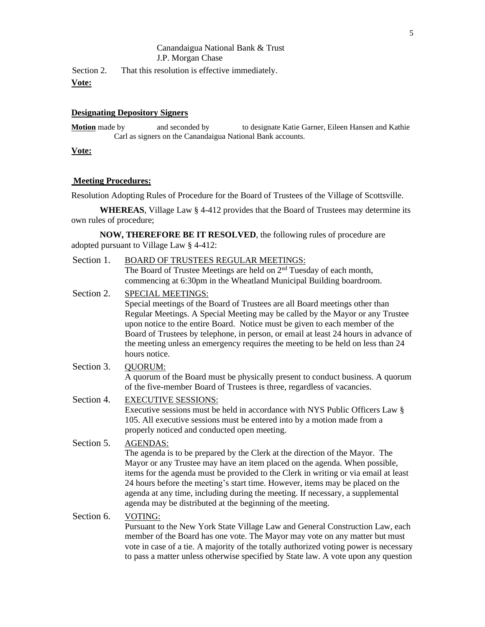### Canandaigua National Bank & Trust J.P. Morgan Chase

Section 2. That this resolution is effective immediately.

**Vote:**

### **Designating Depository Signers**

**Motion** made by and seconded by to designate Katie Garner, Eileen Hansen and Kathie Carl as signers on the Canandaigua National Bank accounts.

## **Vote:**

### **Meeting Procedures:**

Resolution Adopting Rules of Procedure for the Board of Trustees of the Village of Scottsville.

**WHEREAS**, Village Law § 4-412 provides that the Board of Trustees may determine its own rules of procedure;

**NOW, THEREFORE BE IT RESOLVED**, the following rules of procedure are adopted pursuant to Village Law § 4-412:

| Section 1. | <b>BOARD OF TRUSTEES REGULAR MEETINGS:</b><br>The Board of Trustee Meetings are held on 2 <sup>nd</sup> Tuesday of each month,                                                                                                                                                                                                                                                                                                                                                                                                            |
|------------|-------------------------------------------------------------------------------------------------------------------------------------------------------------------------------------------------------------------------------------------------------------------------------------------------------------------------------------------------------------------------------------------------------------------------------------------------------------------------------------------------------------------------------------------|
| Section 2. | commencing at 6:30pm in the Wheatland Municipal Building boardroom.<br><b>SPECIAL MEETINGS:</b><br>Special meetings of the Board of Trustees are all Board meetings other than<br>Regular Meetings. A Special Meeting may be called by the Mayor or any Trustee<br>upon notice to the entire Board. Notice must be given to each member of the<br>Board of Trustees by telephone, in person, or email at least 24 hours in advance of<br>the meeting unless an emergency requires the meeting to be held on less than 24<br>hours notice. |
| Section 3. | QUORUM:<br>A quorum of the Board must be physically present to conduct business. A quorum<br>of the five-member Board of Trustees is three, regardless of vacancies.                                                                                                                                                                                                                                                                                                                                                                      |
| Section 4. | <b>EXECUTIVE SESSIONS:</b><br>Executive sessions must be held in accordance with NYS Public Officers Law §<br>105. All executive sessions must be entered into by a motion made from a<br>properly noticed and conducted open meeting.                                                                                                                                                                                                                                                                                                    |
| Section 5. | <b>AGENDAS:</b><br>The agenda is to be prepared by the Clerk at the direction of the Mayor. The<br>Mayor or any Trustee may have an item placed on the agenda. When possible,<br>items for the agenda must be provided to the Clerk in writing or via email at least<br>24 hours before the meeting's start time. However, items may be placed on the<br>agenda at any time, including during the meeting. If necessary, a supplemental<br>agenda may be distributed at the beginning of the meeting.                                     |
| Section 6. | VOTING:<br>Pursuant to the New York State Village Law and General Construction Law, each<br>member of the Board has one vote. The Mayor may vote on any matter but must                                                                                                                                                                                                                                                                                                                                                                   |

member of the Board has one vote. The Mayor may vote on any matter but must vote in case of a tie. A majority of the totally authorized voting power is necessary to pass a matter unless otherwise specified by State law. A vote upon any question